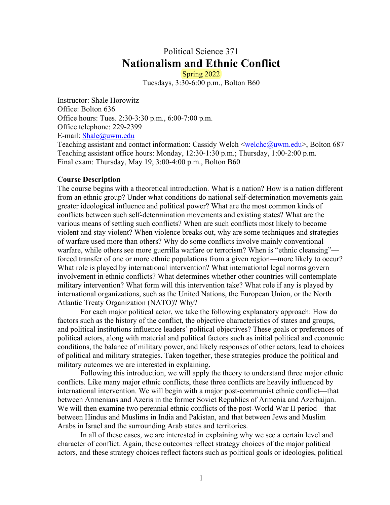# Political Science 371 **Nationalism and Ethnic Conflict**

Spring 2022 Tuesdays, 3:30-6:00 p.m., Bolton B60

Instructor: Shale Horowitz Office: Bolton 636 Office hours: Tues. 2:30-3:30 p.m., 6:00-7:00 p.m. Office telephone: 229-2399 E-mail: Shale@uwm.edu Teaching assistant and contact information: Cassidy Welch <welchc@uwm.edu>, Bolton 687 Teaching assistant office hours: Monday, 12:30-1:30 p.m.; Thursday, 1:00-2:00 p.m.

Final exam: Thursday, May 19, 3:00-4:00 p.m., Bolton B60

#### **Course Description**

The course begins with a theoretical introduction. What is a nation? How is a nation different from an ethnic group? Under what conditions do national self-determination movements gain greater ideological influence and political power? What are the most common kinds of conflicts between such self-determination movements and existing states? What are the various means of settling such conflicts? When are such conflicts most likely to become violent and stay violent? When violence breaks out, why are some techniques and strategies of warfare used more than others? Why do some conflicts involve mainly conventional warfare, while others see more guerrilla warfare or terrorism? When is "ethnic cleansing" forced transfer of one or more ethnic populations from a given region—more likely to occur? What role is played by international intervention? What international legal norms govern involvement in ethnic conflicts? What determines whether other countries will contemplate military intervention? What form will this intervention take? What role if any is played by international organizations, such as the United Nations, the European Union, or the North Atlantic Treaty Organization (NATO)? Why?

For each major political actor, we take the following explanatory approach: How do factors such as the history of the conflict, the objective characteristics of states and groups, and political institutions influence leaders' political objectives? These goals or preferences of political actors, along with material and political factors such as initial political and economic conditions, the balance of military power, and likely responses of other actors, lead to choices of political and military strategies. Taken together, these strategies produce the political and military outcomes we are interested in explaining.

Following this introduction, we will apply the theory to understand three major ethnic conflicts. Like many major ethnic conflicts, these three conflicts are heavily influenced by international intervention. We will begin with a major post-communist ethnic conflict—that between Armenians and Azeris in the former Soviet Republics of Armenia and Azerbaijan. We will then examine two perennial ethnic conflicts of the post-World War II period—that between Hindus and Muslims in India and Pakistan, and that between Jews and Muslim Arabs in Israel and the surrounding Arab states and territories.

In all of these cases, we are interested in explaining why we see a certain level and character of conflict. Again, these outcomes reflect strategy choices of the major political actors, and these strategy choices reflect factors such as political goals or ideologies, political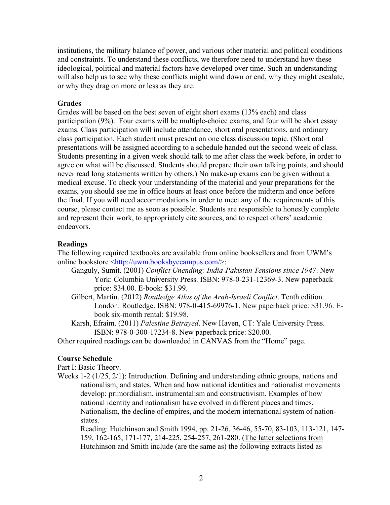institutions, the military balance of power, and various other material and political conditions and constraints. To understand these conflicts, we therefore need to understand how these ideological, political and material factors have developed over time. Such an understanding will also help us to see why these conflicts might wind down or end, why they might escalate, or why they drag on more or less as they are.

#### **Grades**

Grades will be based on the best seven of eight short exams (13% each) and class participation (9%). Four exams will be multiple-choice exams, and four will be short essay exams. Class participation will include attendance, short oral presentations, and ordinary class participation. Each student must present on one class discussion topic. (Short oral presentations will be assigned according to a schedule handed out the second week of class. Students presenting in a given week should talk to me after class the week before, in order to agree on what will be discussed. Students should prepare their own talking points, and should never read long statements written by others.) No make-up exams can be given without a medical excuse. To check your understanding of the material and your preparations for the exams, you should see me in office hours at least once before the midterm and once before the final. If you will need accommodations in order to meet any of the requirements of this course, please contact me as soon as possible. Students are responsible to honestly complete and represent their work, to appropriately cite sources, and to respect others' academic endeavors.

#### **Readings**

The following required textbooks are available from online booksellers and from UWM's online bookstore <http://uwm.booksbyecampus.com/>:

- Ganguly, Sumit. (2001) *Conflict Unending: India-Pakistan Tensions since 1947*. New York: Columbia University Press. ISBN: 978-0-231-12369-3. New paperback price: \$34.00. E-book: \$31.99.
- Gilbert, Martin. (2012) *Routledge Atlas of the Arab-Israeli Conflict*. Tenth edition. London: Routledge. ISBN: 978-0-415-69976-1. New paperback price: \$31.96. Ebook six-month rental: \$19.98.
- Karsh, Efraim. (2011) *Palestine Betrayed*. New Haven, CT: Yale University Press. ISBN: 978-0-300-17234-8. New paperback price: \$20.00.
- Other required readings can be downloaded in CANVAS from the "Home" page.

### **Course Schedule**

Part I: Basic Theory.

Weeks 1-2 (1/25, 2/1): Introduction. Defining and understanding ethnic groups, nations and nationalism, and states. When and how national identities and nationalist movements develop: primordialism, instrumentalism and constructivism. Examples of how national identity and nationalism have evolved in different places and times. Nationalism, the decline of empires, and the modern international system of nationstates.

Reading: Hutchinson and Smith 1994, pp. 21-26, 36-46, 55-70, 83-103, 113-121, 147- 159, 162-165, 171-177, 214-225, 254-257, 261-280. (The latter selections from Hutchinson and Smith include (are the same as) the following extracts listed as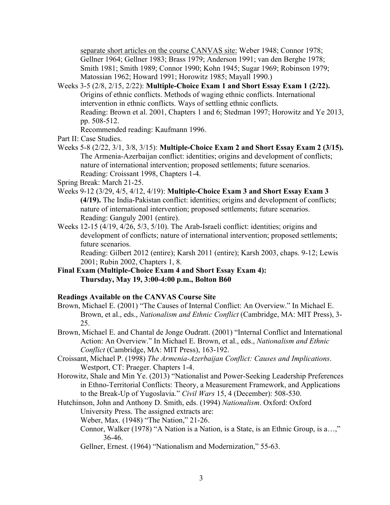separate short articles on the course CANVAS site: Weber 1948; Connor 1978; Gellner 1964; Gellner 1983; Brass 1979; Anderson 1991; van den Berghe 1978; Smith 1981; Smith 1989; Connor 1990; Kohn 1945; Sugar 1969; Robinson 1979; Matossian 1962; Howard 1991; Horowitz 1985; Mayall 1990.)

Weeks 3-5 (2/8, 2/15, 2/22): **Multiple-Choice Exam 1 and Short Essay Exam 1 (2/22).** Origins of ethnic conflicts. Methods of waging ethnic conflicts. International intervention in ethnic conflicts. Ways of settling ethnic conflicts. Reading: Brown et al. 2001, Chapters 1 and 6; Stedman 1997; Horowitz and Ye 2013, pp. 508-512.

Recommended reading: Kaufmann 1996.

- Part II: Case Studies.
- Weeks 5-8 (2/22, 3/1, 3/8, 3/15): **Multiple-Choice Exam 2 and Short Essay Exam 2 (3/15).** The Armenia-Azerbaijan conflict: identities; origins and development of conflicts; nature of international intervention; proposed settlements; future scenarios. Reading: Croissant 1998, Chapters 1-4.

Spring Break: March 21-25.

- Weeks 9-12 (3/29, 4/5, 4/12, 4/19): **Multiple-Choice Exam 3 and Short Essay Exam 3 (4/19).** The India-Pakistan conflict: identities; origins and development of conflicts; nature of international intervention; proposed settlements; future scenarios. Reading: Ganguly 2001 (entire).
- Weeks 12-15 (4/19, 4/26, 5/3, 5/10). The Arab-Israeli conflict: identities; origins and development of conflicts; nature of international intervention; proposed settlements; future scenarios.

Reading: Gilbert 2012 (entire); Karsh 2011 (entire); Karsh 2003, chaps. 9-12; Lewis 2001; Rubin 2002, Chapters 1, 8.

**Final Exam (Multiple-Choice Exam 4 and Short Essay Exam 4): Thursday, May 19, 3:00-4:00 p.m., Bolton B60**

## **Readings Available on the CANVAS Course Site**

- Brown, Michael E. (2001) "The Causes of Internal Conflict: An Overview." In Michael E. Brown, et al., eds., *Nationalism and Ethnic Conflict* (Cambridge, MA: MIT Press), 3- 25.
- Brown, Michael E. and Chantal de Jonge Oudratt. (2001) "Internal Conflict and International Action: An Overview." In Michael E. Brown, et al., eds., *Nationalism and Ethnic Conflict* (Cambridge, MA: MIT Press), 163-192.
- Croissant, Michael P. (1998) *The Armenia-Azerbaijan Conflict: Causes and Implications*. Westport, CT: Praeger. Chapters 1-4.
- Horowitz, Shale and Min Ye. (2013) "Nationalist and Power-Seeking Leadership Preferences in Ethno-Territorial Conflicts: Theory, a Measurement Framework, and Applications to the Break-Up of Yugoslavia." *Civil Wars* 15, 4 (December): 508-530.
- Hutchinson, John and Anthony D. Smith, eds. (1994) *Nationalism*. Oxford: Oxford University Press. The assigned extracts are:
	- Weber, Max. (1948) "The Nation," 21-26.
	- Connor, Walker (1978) "A Nation is a Nation, is a State, is an Ethnic Group, is a…," 36-46.
	- Gellner, Ernest. (1964) "Nationalism and Modernization," 55-63.